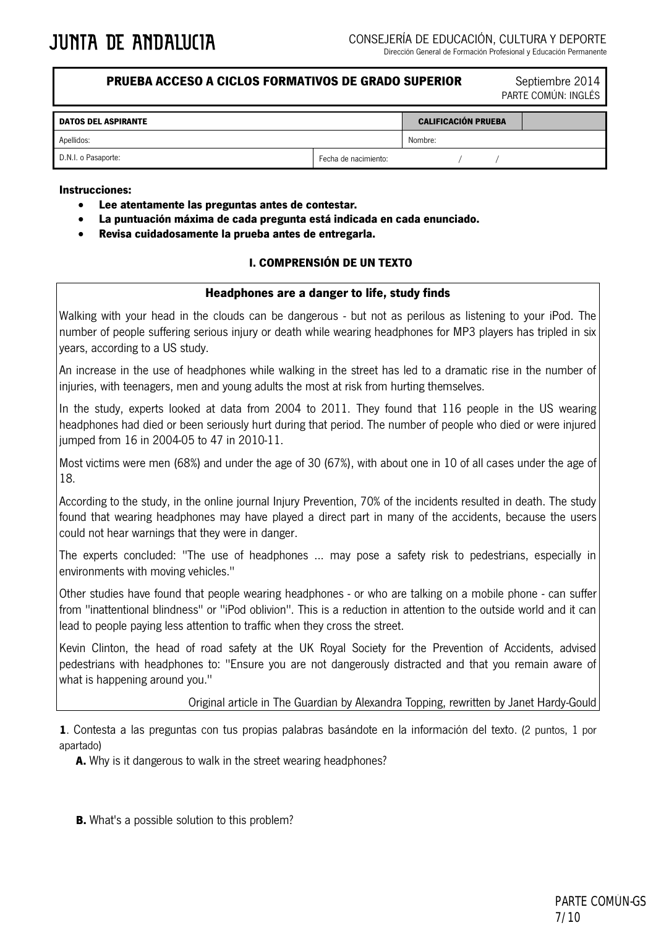### **PRUEBA ACCESO A CICLOS FORMATIVOS DE GRADO SUPERIOR Septiembre 2014**

PARTE COMÚN: INGLÉS

| <b>DATOS DEL ASPIRANTE</b> |                      | <b>CALIFICACIÓN PRUEBA</b> |  |  |
|----------------------------|----------------------|----------------------------|--|--|
| Apellidos:                 |                      | Nombre:                    |  |  |
| D.N.I. o Pasaporte:        | Fecha de nacimiento: |                            |  |  |

#### **Instrucciones:**

- **Lee atentamente las preguntas antes de contestar.**
- **La puntuación máxima de cada pregunta está indicada en cada enunciado.**
- **Revisa cuidadosamente la prueba antes de entregarla.**

#### **I. COMPRENSIÓN DE UN TEXTO**

#### **Headphones are a danger to life, study finds**

Walking with your head in the clouds can be dangerous - but not as perilous as listening to your iPod. The number of people suffering serious injury or death while wearing headphones for MP3 players has tripled in six years, according to a US study.

An increase in the use of headphones while walking in the street has led to a dramatic rise in the number of injuries, with teenagers, men and young adults the most at risk from hurting themselves.

In the study, experts looked at data from 2004 to 2011. They found that 116 people in the US wearing headphones had died or been seriously hurt during that period. The number of people who died or were injured jumped from 16 in 2004-05 to 47 in 2010-11.

Most victims were men (68%) and under the age of 30 (67%), with about one in 10 of all cases under the age of 18.

According to the study, in the online journal Injury Prevention, 70% of the incidents resulted in death. The study found that wearing headphones may have played a direct part in many of the accidents, because the users could not hear warnings that they were in danger.

The experts concluded: "The use of headphones ... may pose a safety risk to pedestrians, especially in environments with moving vehicles."

Other studies have found that people wearing headphones - or who are talking on a mobile phone - can suffer from "inattentional blindness" or "iPod oblivion". This is a reduction in attention to the outside world and it can lead to people paying less attention to traffic when they cross the street.

Kevin Clinton, the head of road safety at the UK Royal Society for the Prevention of Accidents, advised pedestrians with headphones to: "Ensure you are not dangerously distracted and that you remain aware of what is happening around you."

#### Original article in The Guardian by Alexandra Topping, rewritten by Janet Hardy-Gould

**1**. Contesta a las preguntas con tus propias palabras basándote en la información del texto. (2 puntos, 1 por apartado)

**A.** Why is it dangerous to walk in the street wearing headphones?

**B.** What's a possible solution to this problem?